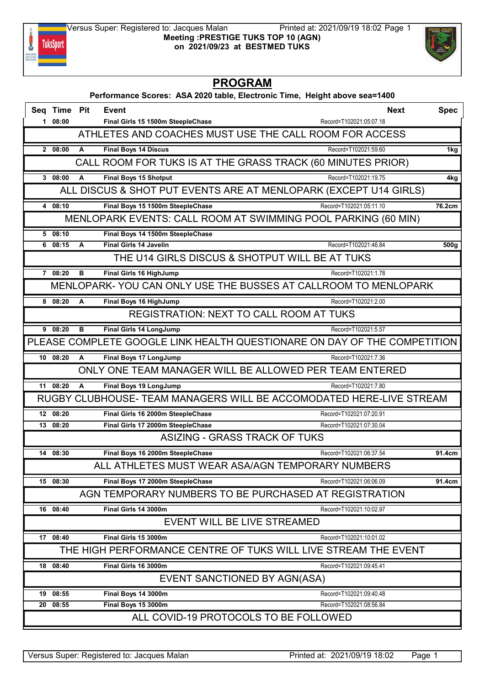

## PROGRAM

## Performance Scores: ASA 2020 table, Electronic Time, Height above sea=1400

|                               | Seq Time Pit                                           |   | Event                                                                    |                         | <b>Next</b> | <b>Spec</b>      |  |
|-------------------------------|--------------------------------------------------------|---|--------------------------------------------------------------------------|-------------------------|-------------|------------------|--|
|                               | 108:00                                                 |   | Final Girls 15 1500m SteepleChase                                        | Record=T102021:05:07.18 |             |                  |  |
|                               | ATHLETES AND COACHES MUST USE THE CALL ROOM FOR ACCESS |   |                                                                          |                         |             |                  |  |
|                               | 208:00                                                 | A | <b>Final Boys 14 Discus</b>                                              | Record=T102021:59.60    |             | 1kg              |  |
|                               |                                                        |   | CALL ROOM FOR TUKS IS AT THE GRASS TRACK (60 MINUTES PRIOR)              |                         |             |                  |  |
|                               | 308:00                                                 | A | <b>Final Boys 15 Shotput</b>                                             | Record=T102021:19.75    |             | 4kg              |  |
|                               |                                                        |   | ALL DISCUS & SHOT PUT EVENTS ARE AT MENLOPARK (EXCEPT U14 GIRLS)         |                         |             |                  |  |
|                               | 4 08:10                                                |   | Final Boys 15 1500m SteepleChase                                         | Record=T102021:05:11.10 |             | 76.2cm           |  |
|                               |                                                        |   | MENLOPARK EVENTS: CALL ROOM AT SWIMMING POOL PARKING (60 MIN)            |                         |             |                  |  |
|                               | 508:10                                                 |   | Final Boys 14 1500m SteepleChase                                         |                         |             |                  |  |
|                               | 608:15                                                 | A | <b>Final Girls 14 Javelin</b>                                            | Record=T102021:46.84    |             | 500 <sub>g</sub> |  |
|                               |                                                        |   | THE U14 GIRLS DISCUS & SHOTPUT WILL BE AT TUKS                           |                         |             |                  |  |
|                               | 7 08:20                                                | в | Final Girls 16 HighJump                                                  | Record=T102021:1.78     |             |                  |  |
|                               |                                                        |   | MENLOPARK-YOU CAN ONLY USE THE BUSSES AT CALLROOM TO MENLOPARK           |                         |             |                  |  |
|                               | 8 08:20                                                | A | Final Boys 16 HighJump                                                   | Record=T102021:2.00     |             |                  |  |
|                               |                                                        |   | REGISTRATION: NEXT TO CALL ROOM AT TUKS                                  |                         |             |                  |  |
|                               | 908:20                                                 | B | <b>Final Girls 14 LongJump</b>                                           | Record=T102021:5.57     |             |                  |  |
|                               |                                                        |   | PLEASE COMPLETE GOOGLE LINK HEALTH QUESTIONARE ON DAY OF THE COMPETITION |                         |             |                  |  |
|                               | 10 08:20                                               | A | Final Boys 17 LongJump                                                   | Record=T102021:7.36     |             |                  |  |
|                               |                                                        |   | ONLY ONE TEAM MANAGER WILL BE ALLOWED PER TEAM ENTERED                   |                         |             |                  |  |
|                               | 11 08:20                                               | A | Final Boys 19 LongJump                                                   | Record=T102021:7.80     |             |                  |  |
|                               |                                                        |   | RUGBY CLUBHOUSE- TEAM MANAGERS WILL BE ACCOMODATED HERE-LIVE STREAM      |                         |             |                  |  |
|                               | 12 08:20                                               |   | Final Girls 16 2000m SteepleChase                                        | Record=T102021:07:20.91 |             |                  |  |
|                               | 13 08:20                                               |   | Final Girls 17 2000m SteepleChase                                        | Record=T102021:07:30.04 |             |                  |  |
| ASIZING - GRASS TRACK OF TUKS |                                                        |   |                                                                          |                         |             |                  |  |
|                               | 14 08:30                                               |   | Final Boys 16 2000m SteepleChase                                         | Record=T102021:06:37.54 |             | 91.4cm           |  |
|                               |                                                        |   | ALL ATHLETES MUST WEAR ASA/AGN TEMPORARY NUMBERS                         |                         |             |                  |  |
|                               | 15 08:30                                               |   | Final Boys 17 2000m SteepleChase                                         | Record=T102021:06:06.09 |             | 91.4cm           |  |
|                               |                                                        |   | AGN TEMPORARY NUMBERS TO BE PURCHASED AT REGISTRATION                    |                         |             |                  |  |
|                               | 16 08:40                                               |   | Final Girls 14 3000m                                                     | Record=T102021:10:02.97 |             |                  |  |
|                               |                                                        |   | EVENT WILL BE LIVE STREAMED                                              |                         |             |                  |  |
|                               | 17 08:40                                               |   | Final Girls 15 3000m                                                     | Record=T102021:10:01.02 |             |                  |  |
|                               |                                                        |   | THE HIGH PERFORMANCE CENTRE OF TUKS WILL LIVE STREAM THE EVENT           |                         |             |                  |  |
|                               | 18 08:40                                               |   | Final Girls 16 3000m                                                     | Record=T102021:09:45.41 |             |                  |  |
| EVENT SANCTIONED BY AGN(ASA)  |                                                        |   |                                                                          |                         |             |                  |  |
|                               | 19 08:55                                               |   | Final Boys 14 3000m                                                      | Record=T102021:09:40.48 |             |                  |  |
| 20                            | 08:55                                                  |   | Final Boys 15 3000m                                                      | Record=T102021:08:56.84 |             |                  |  |
|                               |                                                        |   | ALL COVID-19 PROTOCOLS TO BE FOLLOWED                                    |                         |             |                  |  |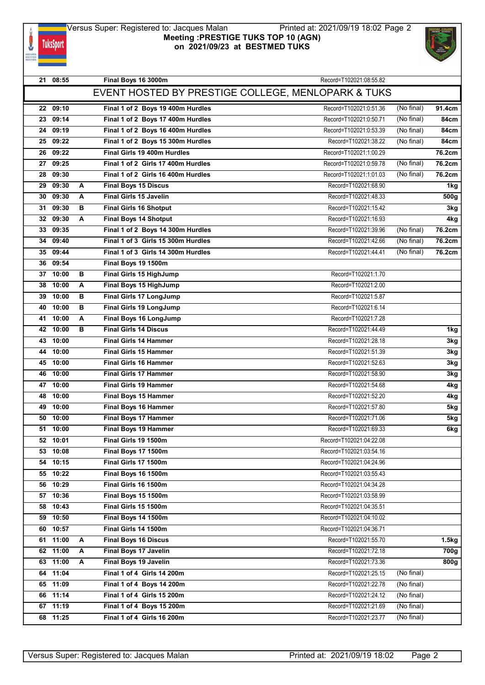## Versus Super: Registered to: Jacques Malan Printed at: 2021/09/19 18:02 Page 2 Meeting :PRESTIGE TUKS TOP 10 (AGN) **TuksSport** on 2021/09/23 at BESTMED TUKS



|    | 21 08:55             |   | Final Boys 16 3000m                                     | Record=T102021:08:55.82 |            |                  |
|----|----------------------|---|---------------------------------------------------------|-------------------------|------------|------------------|
|    |                      |   | EVENT HOSTED BY PRESTIGE COLLEGE, MENLOPARK & TUKS      |                         |            |                  |
| 22 | 09:10                |   | Final 1 of 2 Boys 19 400m Hurdles                       | Record=T102021:0:51.36  | (No final) | 91.4cm           |
| 23 | 09:14                |   | Final 1 of 2 Boys 17 400m Hurdles                       | Record=T102021:0:50.71  | (No final) | 84cm             |
| 24 | 09:19                |   | Final 1 of 2 Boys 16 400m Hurdles                       | Record=T102021:0:53.39  | (No final) | 84cm             |
| 25 | 09:22                |   | Final 1 of 2 Boys 15 300m Hurdles                       | Record=T102021:38.22    | (No final) | 84cm             |
| 26 | 09:22                |   | Final Girls 19 400m Hurdles                             | Record=T102021:1:00.29  |            | 76.2cm           |
| 27 | 09:25                |   | Final 1 of 2 Girls 17 400m Hurdles                      | Record=T102021:0:59.78  | (No final) | 76.2cm           |
| 28 | 09:30                |   | Final 1 of 2 Girls 16 400m Hurdles                      | Record=T102021:1:01.03  | (No final) | 76.2cm           |
| 29 | 09:30                | A | <b>Final Boys 15 Discus</b>                             | Record=T102021:68.90    |            | 1kg              |
| 30 | 09:30                | A | <b>Final Girls 15 Javelin</b>                           | Record=T102021:48.33    |            | 500 <sub>g</sub> |
| 31 | 09:30                | в | <b>Final Girls 16 Shotput</b>                           | Record=T102021:15.42    |            | 3kg              |
|    | 32 09:30             | A | <b>Final Boys 14 Shotput</b>                            | Record=T102021:16.93    |            | 4kg              |
| 33 | 09:35                |   | Final 1 of 2 Boys 14 300m Hurdles                       | Record=T102021:39.96    | (No final) | 76.2cm           |
| 34 | 09:40                |   | Final 1 of 3 Girls 15 300m Hurdles                      | Record=T102021:42.66    | (No final) | 76.2cm           |
| 35 | 09:44                |   | Final 1 of 3 Girls 14 300m Hurdles                      | Record=T102021:44.41    | (No final) | 76.2cm           |
| 36 | 09:54                |   | Final Boys 19 1500m                                     |                         |            |                  |
|    | 37 10:00             | в | Final Girls 15 HighJump                                 | Record=T102021:1.70     |            |                  |
| 38 | 10:00                | A | Final Boys 15 HighJump                                  | Record=T102021:2.00     |            |                  |
| 39 | 10:00                | в | <b>Final Girls 17 LongJump</b>                          | Record=T102021:5.87     |            |                  |
| 40 | 10:00                | в | Final Girls 19 LongJump                                 | Record=T102021:6.14     |            |                  |
| 41 | 10:00                | A | Final Boys 16 LongJump                                  | Record=T102021:7.28     |            |                  |
| 42 | 10:00                | в | <b>Final Girls 14 Discus</b>                            | Record=T102021:44.49    |            | 1kg              |
| 43 | 10:00                |   | <b>Final Girls 14 Hammer</b>                            | Record=T102021:28.18    |            | 3kg              |
| 44 | 10:00                |   | <b>Final Girls 15 Hammer</b>                            | Record=T102021:51.39    |            | 3kg              |
|    | 45 10:00             |   | <b>Final Girls 16 Hammer</b>                            | Record=T102021:52.63    |            | 3kg              |
| 46 | 10:00                |   | <b>Final Girls 17 Hammer</b>                            | Record=T102021:58.90    |            | 3kg              |
| 47 | 10:00                |   | <b>Final Girls 19 Hammer</b>                            | Record=T102021:54.68    |            | 4kg              |
| 48 | 10:00                |   | <b>Final Boys 15 Hammer</b>                             | Record=T102021:52.20    |            | 4kg              |
| 49 | 10:00                |   | <b>Final Boys 16 Hammer</b>                             | Record=T102021:57.80    |            | 5kg              |
| 50 | 10:00                |   | Final Boys 17 Hammer                                    | Record=T102021:71.06    |            | 5kg              |
|    | 51 10:00             |   | <b>Final Boys 19 Hammer</b>                             | Record=T102021:69.33    |            | 6kg              |
|    | 52 10:01             |   | Final Girls 19 1500m                                    | Record=T102021:04:22.08 |            |                  |
|    | 53 10:08             |   | Final Boys 17 1500m                                     | Record=T102021:03:54.16 |            |                  |
|    | 54 10:15             |   | Final Girls 17 1500m                                    | Record=T102021:04:24.96 |            |                  |
|    | 55 10:22             |   | Final Boys 16 1500m                                     | Record=T102021:03:55.43 |            |                  |
|    | 56 10:29             |   | Final Girls 16 1500m                                    | Record=T102021:04:34.28 |            |                  |
|    | 57 10:36             |   | Final Boys 15 1500m                                     | Record=T102021:03:58.99 |            |                  |
|    | 58 10:43             |   | Final Girls 15 1500m                                    | Record=T102021:04:35.51 |            |                  |
|    | 59 10:50             |   | Final Boys 14 1500m                                     | Record=T102021:04:10.02 |            |                  |
|    | 60 10:57             |   | Final Girls 14 1500m                                    | Record=T102021:04:36.71 |            |                  |
|    | 61 11:00             | A | <b>Final Boys 16 Discus</b>                             | Record=T102021:55.70    |            | 1.5kg            |
|    | 62 11:00             | A | Final Boys 17 Javelin                                   | Record=T102021:72.18    |            | 700g             |
|    | 63 11:00             | A | Final Boys 19 Javelin                                   | Record=T102021:73.36    |            | 800g             |
|    | 64 11:04             |   | Final 1 of 4 Girls 14 200m                              | Record=T102021:25.15    | (No final) |                  |
|    | 65 11:09<br>66 11:14 |   | Final 1 of 4 Boys 14 200m<br>Final 1 of 4 Girls 15 200m | Record=T102021:22.78    | (No final) |                  |
|    |                      |   |                                                         | Record=T102021:24.12    | (No final) |                  |
|    | 67 11:19             |   | Final 1 of 4 Boys 15 200m                               | Record=T102021:21.69    | (No final) |                  |
| 68 | 11:25                |   | Final 1 of 4 Girls 16 200m                              | Record=T102021:23.77    | (No final) |                  |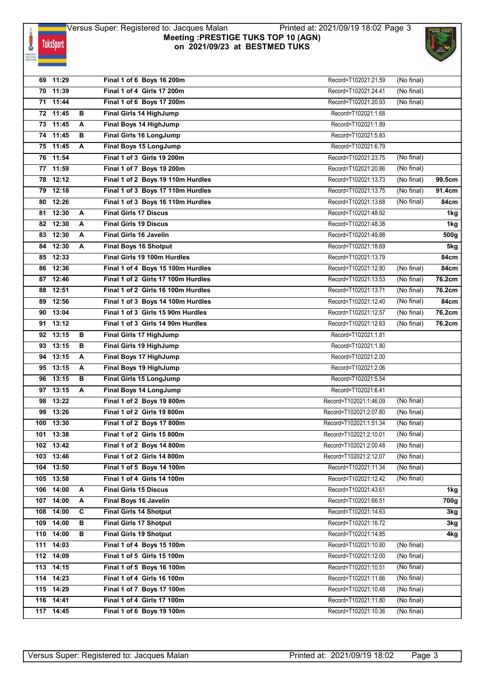

|     | 69 11:29  |   | Final 1 of 6 Boys 16 200m          | Record=T102021:21.59   | (No final) |                  |
|-----|-----------|---|------------------------------------|------------------------|------------|------------------|
|     | 70 11:39  |   | Final 1 of 4 Girls 17 200m         | Record=T102021:24.41   | (No final) |                  |
|     | 71 11:44  |   | Final 1 of 6 Boys 17 200m          | Record=T102021:20.93   | (No final) |                  |
|     | 72 11:45  | в | Final Girls 14 HighJump            | Record=T102021:1.68    |            |                  |
|     | 73 11:45  | A | Final Boys 14 HighJump             | Record=T102021:1.89    |            |                  |
|     | 74 11:45  | в | <b>Final Girls 16 LongJump</b>     | Record=T102021:5.83    |            |                  |
|     | 75 11:45  | A | Final Boys 15 LongJump             | Record=T102021:6.79    |            |                  |
|     | 76 11:54  |   | Final 1 of 3 Girls 19 200m         | Record=T102021:23.75   | (No final) |                  |
|     | 77 11:59  |   | Final 1 of 7 Boys 19 200m          | Record=T102021:20.86   | (No final) |                  |
|     | 78 12:12  |   | Final 1 of 2 Boys 19 110m Hurdles  | Record=T102021:13.73   | (No final) | 99.5cm           |
|     | 79 12:18  |   | Final 1 of 3 Boys 17 110m Hurdles  | Record=T102021:13.75   | (No final) | 91.4cm           |
| 80  | 12:26     |   | Final 1 of 3 Boys 16 110m Hurdles  | Record=T102021:13.68   | (No final) | 84cm             |
|     | 81 12:30  | Α | <b>Final Girls 17 Discus</b>       | Record=T102021:48.92   |            | 1kg              |
|     | 82 12:30  | A | <b>Final Girls 19 Discus</b>       | Record=T102021:48.38   |            | 1kg              |
|     | 83 12:30  | A | <b>Final Girls 16 Javelin</b>      | Record=T102021:49.88   |            | 500 <sub>g</sub> |
|     | 84 12:30  | A | <b>Final Boys 16 Shotput</b>       | Record=T102021:18.69   |            | 5kg              |
|     | 85 12:33  |   | Final Girls 19 100m Hurdles        | Record=T102021:13.79   |            | 84cm             |
| 86  | 12:36     |   | Final 1 of 4 Boys 15 100m Hurdles  | Record=T102021:12.80   | (No final) | 84cm             |
| 87  | 12:46     |   | Final 1 of 2 Girls 17 100m Hurdles | Record=T102021:13.53   | (No final) | 76.2cm           |
| 88  | 12:51     |   | Final 1 of 2 Girls 16 100m Hurdles | Record=T102021:13.71   | (No final) | 76.2cm           |
| 89  | 12:56     |   | Final 1 of 3 Boys 14 100m Hurdles  | Record=T102021:12.40   | (No final) | 84cm             |
| 90  | 13:04     |   | Final 1 of 3 Girls 15 90m Hurdles  | Record=T102021:12.57   | (No final) | 76.2cm           |
|     | 91 13:12  |   | Final 1 of 3 Girls 14 90m Hurdles  | Record=T102021:12.63   | (No final) | 76.2cm           |
|     | 92 13:15  | в | Final Girls 17 HighJump            | Record=T102021:1.81    |            |                  |
|     | 93 13:15  | в | Final Girls 19 HighJump            | Record=T102021:1.80    |            |                  |
|     | 94 13:15  | Α | Final Boys 17 HighJump             | Record=T102021:2.00    |            |                  |
| 95  | 13:15     | A | Final Boys 19 HighJump             | Record=T102021:2.06    |            |                  |
| 96  | 13:15     | в | Final Girls 15 LongJump            | Record=T102021:5.54    |            |                  |
|     | 97 13:15  | A | Final Boys 14 LongJump             | Record=T102021:6.41    |            |                  |
| 98  | 13:22     |   | Final 1 of 2 Boys 19 800m          | Record=T102021:1:46.09 | (No final) |                  |
| 99  | 13:26     |   | Final 1 of 2 Girls 19 800m         | Record=T102021:2:07.80 | (No final) |                  |
| 100 | 13:30     |   | Final 1 of 2 Boys 17 800m          | Record=T102021:1:51.34 | (No final) |                  |
|     | 101 13:38 |   | Final 1 of 2 Girls 15 800m         | Record=T102021:2:10.01 | (No final) |                  |
|     | 102 13:42 |   | Final 1 of 2 Boys 14 800m          | Record=T102021:2:00.48 | (No final) |                  |
|     | 103 13:46 |   | Final 1 of 2 Girls 14 800m         | Record=T102021:2:12.07 | (No final) |                  |
|     | 104 13:50 |   | Final 1 of 5 Boys 14 100m          | Record=T102021:11.34   | (No final) |                  |
|     | 105 13:58 |   | Final 1 of 4 Girls 14 100m         | Record=T102021:12.42   | (No final) |                  |
|     | 106 14:00 | Α | <b>Final Girls 15 Discus</b>       | Record=T102021:43.61   |            | 1kg              |
|     | 107 14:00 | Α | Final Boys 16 Javelin              | Record=T102021:66.51   |            | 700g             |
|     | 108 14:00 | C | <b>Final Girls 14 Shotput</b>      | Record=T102021:14.63   |            | 3kg              |
|     | 109 14:00 | в | <b>Final Girls 17 Shotput</b>      | Record=T102021:16.72   |            | 3kg              |
|     | 110 14:00 | в | <b>Final Girls 19 Shotput</b>      | Record=T102021:14.85   |            | 4kg              |
|     | 111 14:03 |   | Final 1 of 4 Boys 15 100m          | Record=T102021:10.80   | (No final) |                  |
|     | 112 14:09 |   | Final 1 of 5 Girls 15 100m         | Record=T102021:12.00   | (No final) |                  |
|     | 113 14:15 |   | Final 1 of 5 Boys 16 100m          | Record=T102021:10.51   | (No final) |                  |
|     | 114 14:23 |   | Final 1 of 4 Girls 16 100m         | Record=T102021:11.66   | (No final) |                  |
|     | 115 14:29 |   | Final 1 of 7 Boys 17 100m          | Record=T102021:10.48   | (No final) |                  |
|     | 116 14:41 |   | Final 1 of 4 Girls 17 100m         | Record=T102021:11.80   | (No final) |                  |
|     | 117 14:45 |   | Final 1 of 6 Boys 19 100m          | Record=T102021:10.36   | (No final) |                  |